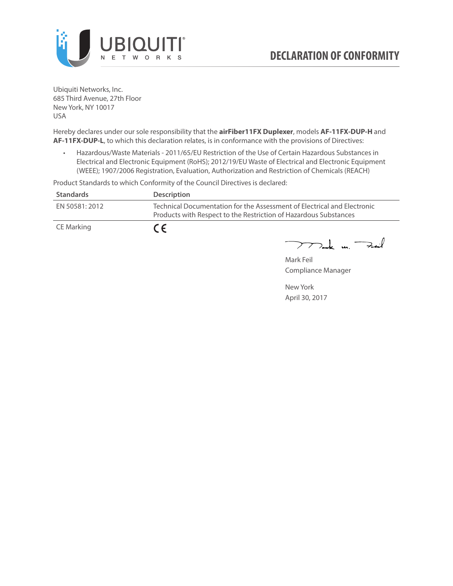

Ubiquiti Networks, Inc. 685 Third Avenue, 27th Floor New York, NY 10017 USA

Hereby declares under our sole responsibility that the **airFiber11FX Duplexer**, models **AF-11FX-DUP-H** and **AF-11FX-DUP-L**, to which this declaration relates, is in conformance with the provisions of Directives:

• Hazardous/Waste Materials - 2011/65/EU Restriction of the Use of Certain Hazardous Substances in Electrical and Electronic Equipment (RoHS); 2012/19/EU Waste of Electrical and Electronic Equipment (WEEE); 1907/2006 Registration, Evaluation, Authorization and Restriction of Chemicals (REACH)

Product Standards to which Conformity of the Council Directives is declared:

| Standards      | <b>Description</b>                                                                                                                          |
|----------------|---------------------------------------------------------------------------------------------------------------------------------------------|
| EN 50581: 2012 | Technical Documentation for the Assessment of Electrical and Electronic<br>Products with Respect to the Restriction of Hazardous Substances |
| CE Marking     | $\epsilon$                                                                                                                                  |

 $\nabla$  and  $\nabla$  we are the set

Mark Feil Compliance Manager

New York April 30, 2017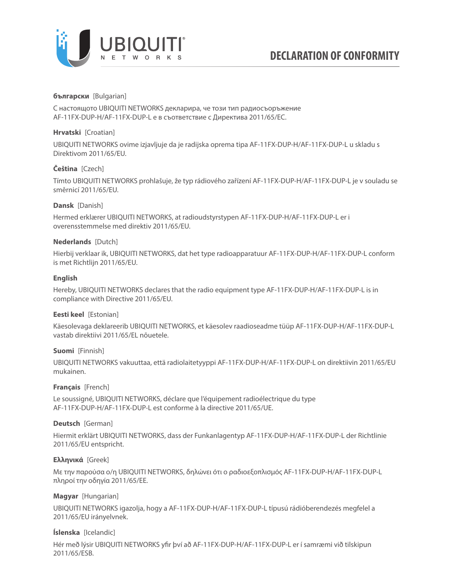

# **български** [Bulgarian]

С настоящото UBIQUITI NETWORKS декларира, че този тип радиосъоръжение AF-11FX-DUP-H/AF-11FX-DUP-L е в съответствие с Директива 2011/65/ЕС.

# **Hrvatski** [Croatian]

UBIQUITI NETWORKS ovime izjavljuje da je radijska oprema tipa AF-11FX-DUP-H/AF-11FX-DUP-L u skladu s Direktivom 2011/65/ЕU.

# **Čeština** [Czech]

Tímto UBIQUITI NETWORKS prohlašuje, že typ rádiového zařízení AF-11FX-DUP-H/AF-11FX-DUP-L je v souladu se směrnicí 2011/65/ЕU.

# **Dansk** [Danish]

Hermed erklærer UBIQUITI NETWORKS, at radioudstyrstypen AF-11FX-DUP-H/AF-11FX-DUP-L er i overensstemmelse med direktiv 2011/65/ЕU.

# **Nederlands** [Dutch]

Hierbij verklaar ik, UBIQUITI NETWORKS, dat het type radioapparatuur AF-11FX-DUP-H/AF-11FX-DUP-L conform is met Richtlijn 2011/65/ЕU.

# **English**

Hereby, UBIQUITI NETWORKS declares that the radio equipment type AF-11FX-DUP-H/AF-11FX-DUP-L is in compliance with Directive 2011/65/ЕU.

#### **Eesti keel** [Estonian]

Käesolevaga deklareerib UBIQUITI NETWORKS, et käesolev raadioseadme tüüp AF-11FX-DUP-H/AF-11FX-DUP-L vastab direktiivi 2011/65/EL nõuetele.

# **Suomi** [Finnish]

UBIQUITI NETWORKS vakuuttaa, että radiolaitetyyppi AF-11FX-DUP-H/AF-11FX-DUP-L on direktiivin 2011/65/EU mukainen.

# **Français** [French]

Le soussigné, UBIQUITI NETWORKS, déclare que l'équipement radioélectrique du type AF-11FX-DUP-H/AF-11FX-DUP-L est conforme à la directive 2011/65/UE.

#### **Deutsch** [German]

Hiermit erklärt UBIQUITI NETWORKS, dass der Funkanlagentyp AF-11FX-DUP-H/AF-11FX-DUP-L der Richtlinie 2011/65/EU entspricht.

# **Ελληνικά** [Greek]

Με την παρούσα ο/η UBIQUITI NETWORKS, δηλώνει ότι ο ραδιοεξοπλισμός AF-11FX-DUP-H/AF-11FX-DUP-L πληροί την οδηγία 2011/65/EE.

# **Magyar** [Hungarian]

UBIQUITI NETWORKS igazolja, hogy a AF-11FX-DUP-H/AF-11FX-DUP-L típusú rádióberendezés megfelel a 2011/65/EU irányelvnek.

# **Íslenska** [Icelandic]

Hér með lýsir UBIQUITI NETWORKS yfir því að AF-11FX-DUP-H/AF-11FX-DUP-L er í samræmi við tilskipun 2011/65/ESB.